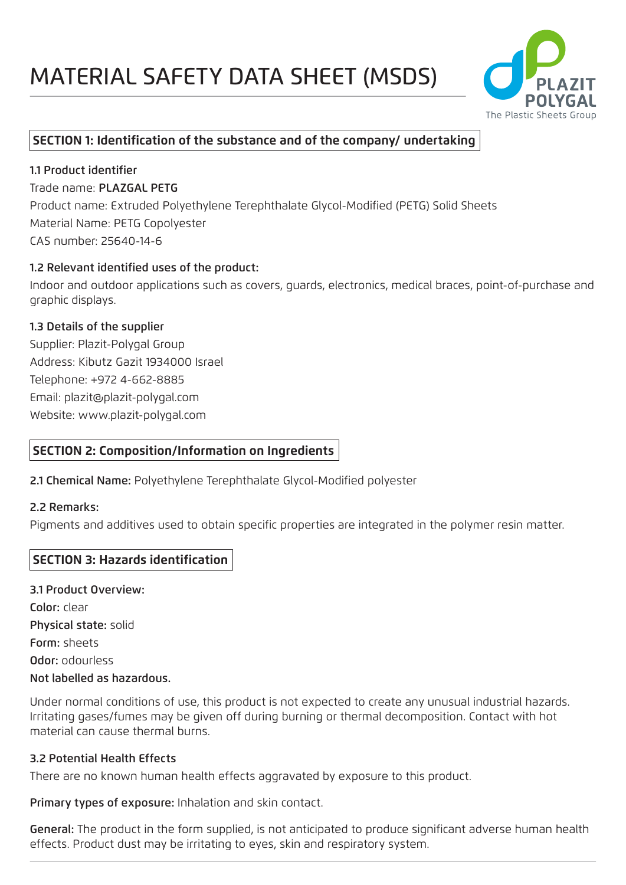

# **SECTION 1: Identification of the substance and of the company/ undertaking**

1.1 Product identifier Trade name: PLAZGAL PETG Product name: Extruded Polyethylene Terephthalate Glycol-Modified (PETG) Solid Sheets Material Name: PETG Copolyester CAS number: 25640-14-6

#### 1.2 Relevant identified uses of the product:

Indoor and outdoor applications such as covers, guards, electronics, medical braces, point-of-purchase and graphic displays.

#### 1.3 Details of the supplier

Supplier: Plazit-Polygal Group Address: Kibutz Gazit 1934000 Israel Telephone: +972 4-662-8885 Email: plazit@plazit-polygal.com Website: www.plazit-polygal.com

## **SECTION 2: Composition/Information on Ingredients**

2.1 Chemical Name: Polyethylene Terephthalate Glycol-Modified polyester

#### 2.2 Remarks:

Pigments and additives used to obtain specific properties are integrated in the polymer resin matter.

## **SECTION 3: Hazards identification**

3.1 Product Overview: Color: clear Physical state: solid Form: sheets Odor: odourless Not labelled as hazardous.

Under normal conditions of use, this product is not expected to create any unusual industrial hazards. Irritating gases/fumes may be given off during burning or thermal decomposition. Contact with hot material can cause thermal burns.

#### 3.2 Potential Health Effects

There are no known human health effects aggravated by exposure to this product.

Primary types of exposure: Inhalation and skin contact.

General: The product in the form supplied, is not anticipated to produce significant adverse human health effects. Product dust may be irritating to eyes, skin and respiratory system.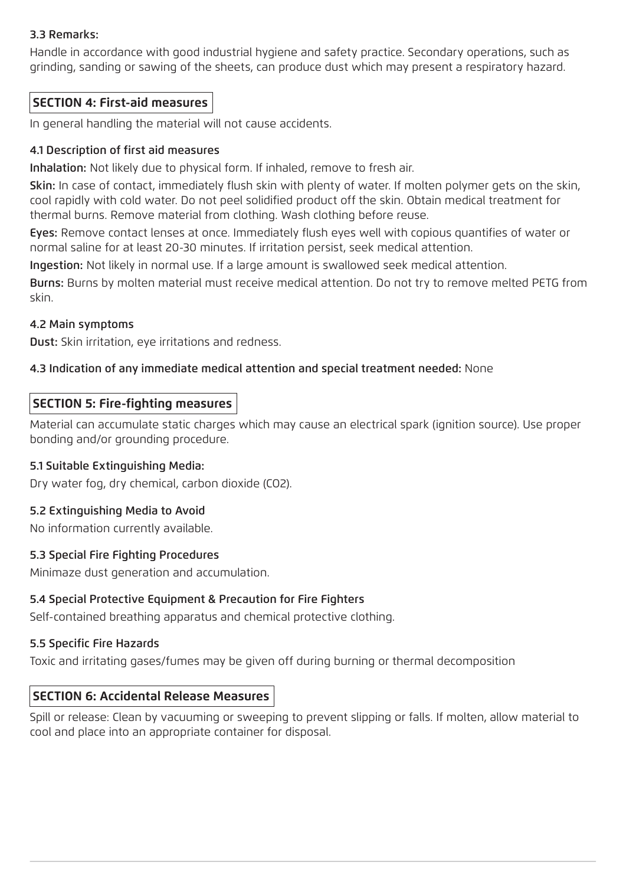### 3.3 Remarks:

Handle in accordance with good industrial hygiene and safety practice. Secondary operations, such as grinding, sanding or sawing of the sheets, can produce dust which may present a respiratory hazard.

## **SECTION 4: First-aid measures**

In general handling the material will not cause accidents.

#### 4.1 Description of first aid measures

Inhalation: Not likely due to physical form. If inhaled, remove to fresh air.

Skin: In case of contact, immediately flush skin with plenty of water. If molten polymer gets on the skin, cool rapidly with cold water. Do not peel solidified product off the skin. Obtain medical treatment for thermal burns. Remove material from clothing. Wash clothing before reuse.

Eyes: Remove contact lenses at once. Immediately flush eyes well with copious quantifies of water or normal saline for at least 20-30 minutes. If irritation persist, seek medical attention.

Ingestion: Not likely in normal use. If a large amount is swallowed seek medical attention.

Burns: Burns by molten material must receive medical attention. Do not try to remove melted PETG from skin.

#### 4.2 Main symptoms

Dust: Skin irritation, eye irritations and redness.

#### 4.3 Indication of any immediate medical attention and special treatment needed: None

#### **SECTION 5: Fire-fighting measures**

Material can accumulate static charges which may cause an electrical spark (ignition source). Use proper bonding and/or grounding procedure.

#### 5.1 Suitable Extinguishing Media:

Dry water fog, dry chemical, carbon dioxide (CO2).

#### 5.2 Extinguishing Media to Avoid

No information currently available.

#### 5.3 Special Fire Fighting Procedures

Minimaze dust generation and accumulation.

#### 5.4 Special Protective Equipment & Precaution for Fire Fighters

Self-contained breathing apparatus and chemical protective clothing.

#### 5.5 Specific Fire Hazards

Toxic and irritating gases/fumes may be given off during burning or thermal decomposition

#### **SECTION 6: Accidental Release Measures**

Spill or release: Clean by vacuuming or sweeping to prevent slipping or falls. If molten, allow material to cool and place into an appropriate container for disposal.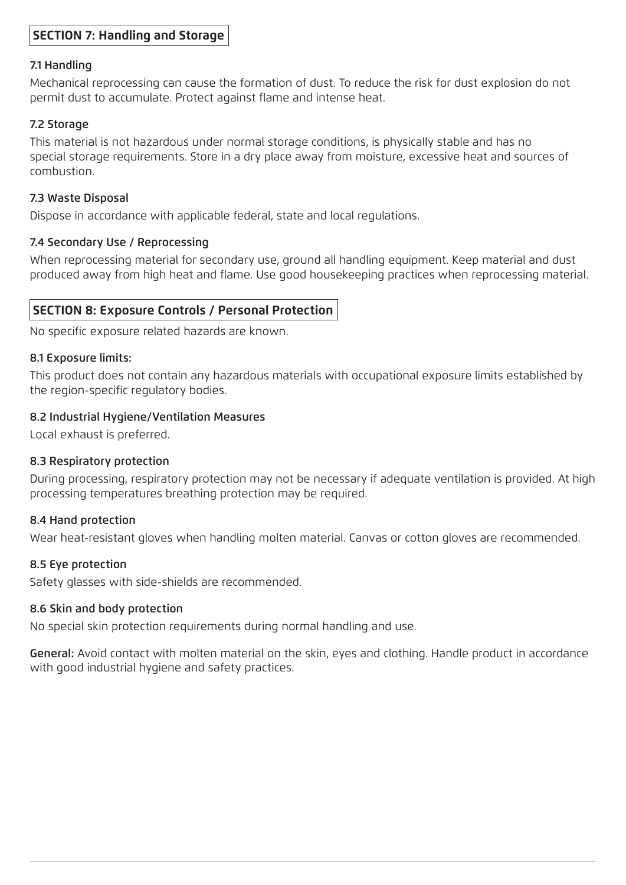## **SECTION 7: Handling and Storage**

#### 7.1 Handling

Mechanical reprocessing can cause the formation of dust. To reduce the risk for dust explosion do not permit dust to accumulate. Protect against flame and intense heat.

#### 7.2 Storage

This material is not hazardous under normal storage conditions, is physically stable and has no special storage requirements. Store in a dry place away from moisture, excessive heat and sources of combustion.

#### 7.3 Waste Disposal

Dispose in accordance with applicable federal, state and local regulations.

#### 7.4 Secondary Use / Reprocessing

When reprocessing material for secondary use, ground all handling equipment. Keep material and dust produced away from high heat and flame. Use good housekeeping practices when reprocessing material.

## **SECTION 8: Exposure Controls / Personal Protection**

No specific exposure related hazards are known.

#### 8.1 Exposure limits:

This product does not contain any hazardous materials with occupational exposure limits established by the region-specific regulatory bodies.

#### 8.2 Industrial Hygiene/Ventilation Measures

Local exhaust is preferred.

#### 8.3 Respiratory protection

During processing, respiratory protection may not be necessary if adequate ventilation is provided. At high processing temperatures breathing protection may be required.

#### 8.4 Hand protection

Wear heat-resistant gloves when handling molten material. Canvas or cotton gloves are recommended.

#### 8.5 Eye protection

Safety glasses with side-shields are recommended.

#### 8.6 Skin and body protection

No special skin protection requirements during normal handling and use.

General: Avoid contact with molten material on the skin, eyes and clothing. Handle product in accordance with good industrial hygiene and safety practices.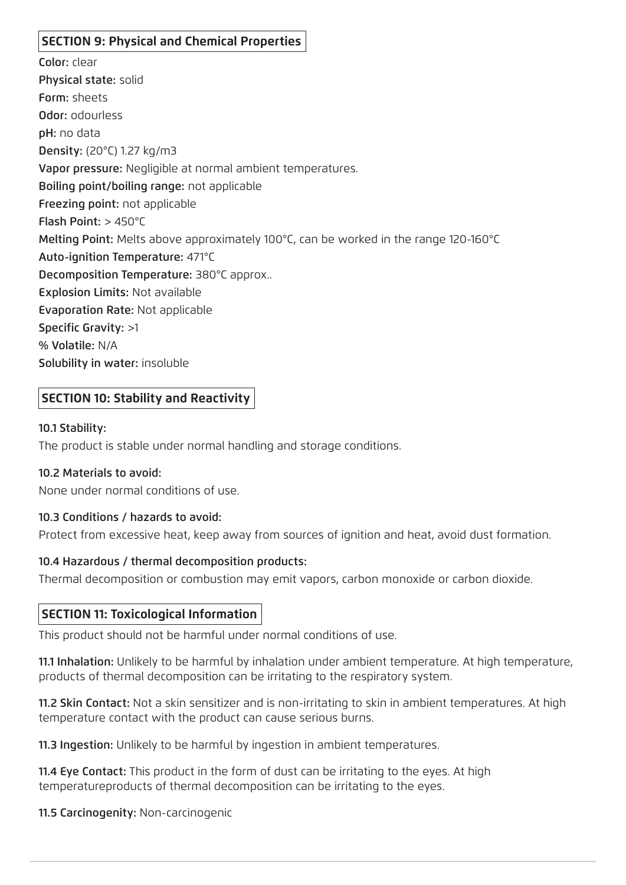# **SECTION 9: Physical and Chemical Properties**

Color: clear Physical state: solid Form: sheets Odor: odourless pH: no data Density: (20°C) 1.27 kg/m3 Vapor pressure: Negligible at normal ambient temperatures. Boiling point/boiling range: not applicable Freezing point: not applicable Flash Point: > 450°C Melting Point: Melts above approximately 100°C, can be worked in the range 120-160°C Auto-ignition Temperature: 471°C Decomposition Temperature: 380°C approx.. Explosion Limits: Not available Evaporation Rate: Not applicable Specific Gravity: >1 % Volatile: N/A Solubility in water: insoluble

## **SECTION 10: Stability and Reactivity**

#### 10.1 Stability:

The product is stable under normal handling and storage conditions.

#### 10.2 Materials to avoid:

None under normal conditions of use.

#### 10.3 Conditions / hazards to avoid:

Protect from excessive heat, keep away from sources of ignition and heat, avoid dust formation.

#### 10.4 Hazardous / thermal decomposition products:

Thermal decomposition or combustion may emit vapors, carbon monoxide or carbon dioxide.

## **SECTION 11: Toxicological Information**

This product should not be harmful under normal conditions of use.

11.1 Inhalation: Unlikely to be harmful by inhalation under ambient temperature. At high temperature, products of thermal decomposition can be irritating to the respiratory system.

11.2 Skin Contact: Not a skin sensitizer and is non-irritating to skin in ambient temperatures. At high temperature contact with the product can cause serious burns.

11.3 Ingestion: Unlikely to be harmful by ingestion in ambient temperatures.

11.4 Eye Contact: This product in the form of dust can be irritating to the eyes. At high temperatureproducts of thermal decomposition can be irritating to the eyes.

11.5 Carcinogenity: Non-carcinogenic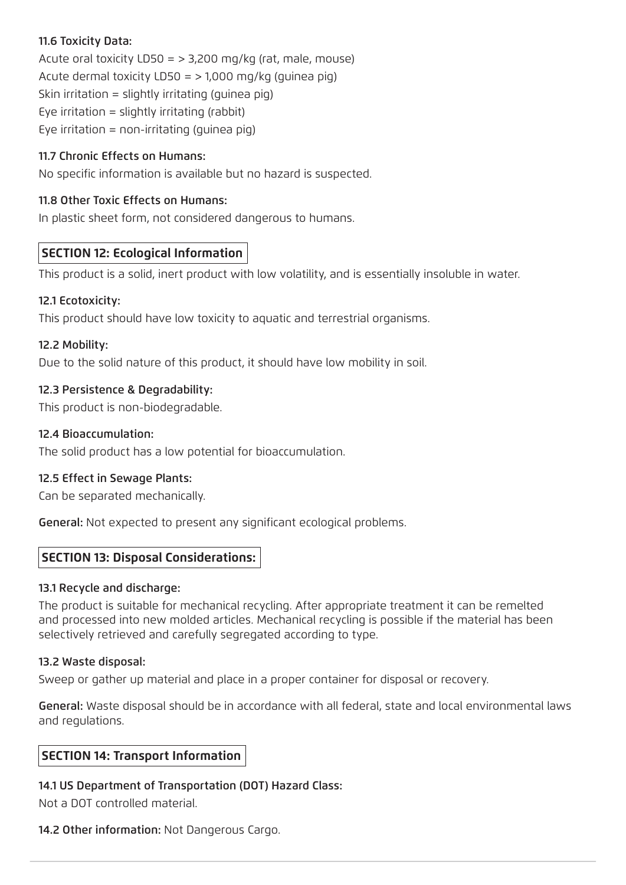## 11.6 Toxicity Data:

Acute oral toxicity  $LD50 = > 3,200$  mg/kg (rat, male, mouse) Acute dermal toxicity  $LD50 =$  > 1,000 mg/kg (guinea pig) Skin irritation = slightly irritating (guinea pig) Eye irritation = slightly irritating (rabbit) Eye irritation = non-irritating (guinea pig)

## 11.7 Chronic Effects on Humans:

No specific information is available but no hazard is suspected.

## 11.8 Other Toxic Effects on Humans:

In plastic sheet form, not considered dangerous to humans.

# **SECTION 12: Ecological Information**

This product is a solid, inert product with low volatility, and is essentially insoluble in water.

## 12.1 Ecotoxicity:

This product should have low toxicity to aquatic and terrestrial organisms.

## 12.2 Mobility:

Due to the solid nature of this product, it should have low mobility in soil.

## 12.3 Persistence & Degradability:

This product is non-biodegradable.

## 12.4 Bioaccumulation:

The solid product has a low potential for bioaccumulation.

## 12.5 Effect in Sewage Plants:

Can be separated mechanically.

General: Not expected to present any significant ecological problems.

# **SECTION 13: Disposal Considerations:**

## 13.1 Recycle and discharge:

The product is suitable for mechanical recycling. After appropriate treatment it can be remelted and processed into new molded articles. Mechanical recycling is possible if the material has been selectively retrieved and carefully segregated according to type.

## 13.2 Waste disposal:

Sweep or gather up material and place in a proper container for disposal or recovery.

General: Waste disposal should be in accordance with all federal, state and local environmental laws and regulations.

## **SECTION 14: Transport Information**

## 14.1 US Department of Transportation (DOT) Hazard Class:

Not a DOT controlled material.

#### 14.2 Other information: Not Dangerous Cargo.